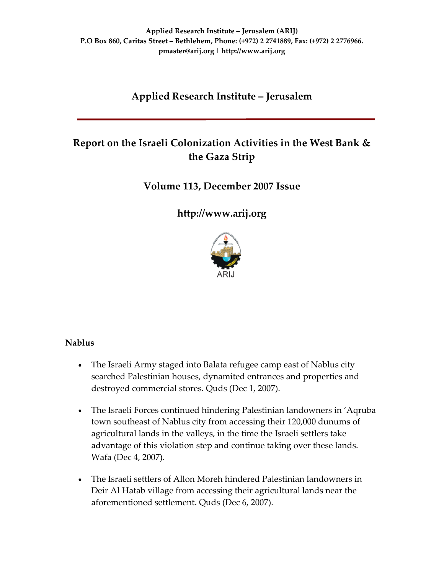# **Applied Research Institute – Jerusalem**

# **Report on the Israeli Colonization Activities in the West Bank & the Gaza Strip**

# **Volume 113, December 2007 Issue**

**[http://www.arij.org](http://www.arij.org/)**



### **Nablus**

- The Israeli Army staged into Balata refugee camp east of Nablus city searched Palestinian houses, dynamited entrances and properties and destroyed commercial stores. Quds (Dec 1, 2007).
- The Israeli Forces continued hindering Palestinian landowners in 'Aqruba town southeast of Nablus city from accessing their 120,000 dunums of agricultural lands in the valleys, in the time the Israeli settlers take advantage of this violation step and continue taking over these lands. Wafa (Dec 4, 2007).
- The Israeli settlers of Allon Moreh hindered Palestinian landowners in Deir Al Hatab village from accessing their agricultural lands near the aforementioned settlement. Quds (Dec 6, 2007).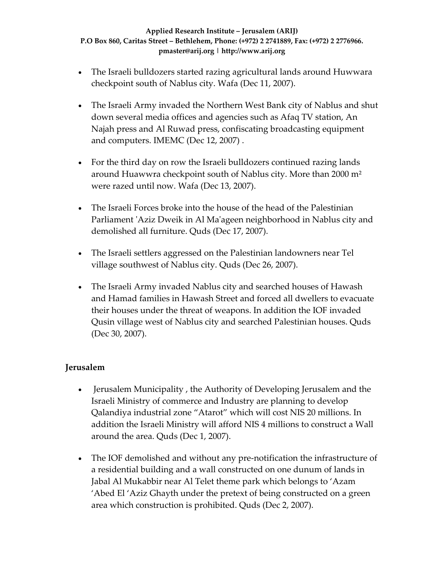- The Israeli bulldozers started razing agricultural lands around Huwwara checkpoint south of Nablus city. Wafa (Dec 11, 2007).
- The Israeli Army invaded the Northern West Bank city of Nablus and shut down several media offices and agencies such as Afaq TV station, An Najah press and Al Ruwad press, confiscating broadcasting equipment and computers. IMEMC (Dec 12, 2007) .
- For the third day on row the Israeli bulldozers continued razing lands around Huawwra checkpoint south of Nablus city. More than 2000 m² were razed until now. Wafa (Dec 13, 2007).
- The Israeli Forces broke into the house of the head of the Palestinian Parliament 'Aziz Dweik in Al Ma'ageen neighborhood in Nablus city and demolished all furniture. Quds (Dec 17, 2007).
- The Israeli settlers aggressed on the Palestinian landowners near Tel village southwest of Nablus city. Quds (Dec 26, 2007).
- The Israeli Army invaded Nablus city and searched houses of Hawash and Hamad families in Hawash Street and forced all dwellers to evacuate their houses under the threat of weapons. In addition the IOF invaded Qusin village west of Nablus city and searched Palestinian houses. Quds (Dec 30, 2007).

# **Jerusalem**

- Jerusalem Municipality , the Authority of Developing Jerusalem and the Israeli Ministry of commerce and Industry are planning to develop Qalandiya industrial zone "Atarot" which will cost NIS 20 millions. In addition the Israeli Ministry will afford NIS 4 millions to construct a Wall around the area. Quds (Dec 1, 2007).
- The IOF demolished and without any pre-notification the infrastructure of a residential building and a wall constructed on one dunum of lands in Jabal Al Mukabbir near Al Telet theme park which belongs to 'Azam 'Abed El 'Aziz Ghayth under the pretext of being constructed on a green area which construction is prohibited. Quds (Dec 2, 2007).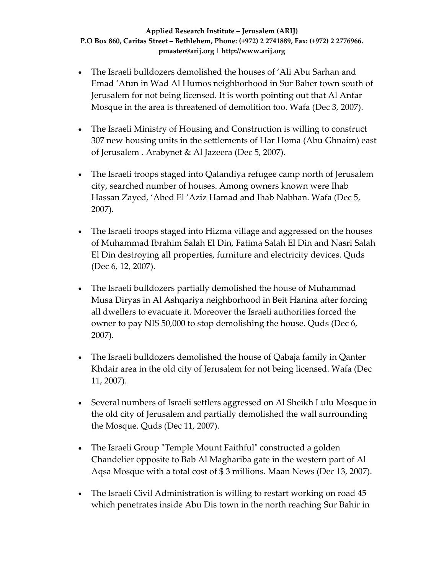- The Israeli bulldozers demolished the houses of 'Ali Abu Sarhan and Emad 'Atun in Wad Al Humos neighborhood in Sur Baher town south of Jerusalem for not being licensed. It is worth pointing out that Al Anfar Mosque in the area is threatened of demolition too. Wafa (Dec 3, 2007).
- The Israeli Ministry of Housing and Construction is willing to construct 307 new housing units in the settlements of Har Homa (Abu Ghnaim) east of Jerusalem . Arabynet & Al Jazeera (Dec 5, 2007).
- The Israeli troops staged into Qalandiya refugee camp north of Jerusalem city, searched number of houses. Among owners known were Ihab Hassan Zayed, 'Abed El 'Aziz Hamad and Ihab Nabhan. Wafa (Dec 5, 2007).
- The Israeli troops staged into Hizma village and aggressed on the houses of Muhammad Ibrahim Salah El Din, Fatima Salah El Din and Nasri Salah El Din destroying all properties, furniture and electricity devices. Quds (Dec 6, 12, 2007).
- The Israeli bulldozers partially demolished the house of Muhammad Musa Diryas in Al Ashqariya neighborhood in Beit Hanina after forcing all dwellers to evacuate it. Moreover the Israeli authorities forced the owner to pay NIS 50,000 to stop demolishing the house. Quds (Dec 6, 2007).
- The Israeli bulldozers demolished the house of Qabaja family in Qanter Khdair area in the old city of Jerusalem for not being licensed. Wafa (Dec 11, 2007).
- Several numbers of Israeli settlers aggressed on Al Sheikh Lulu Mosque in the old city of Jerusalem and partially demolished the wall surrounding the Mosque. Quds (Dec 11, 2007).
- The Israeli Group "Temple Mount Faithful" constructed a golden Chandelier opposite to Bab Al Maghariba gate in the western part of Al Aqsa Mosque with a total cost of \$ 3 millions. Maan News (Dec 13, 2007).
- The Israeli Civil Administration is willing to restart working on road 45 which penetrates inside Abu Dis town in the north reaching Sur Bahir in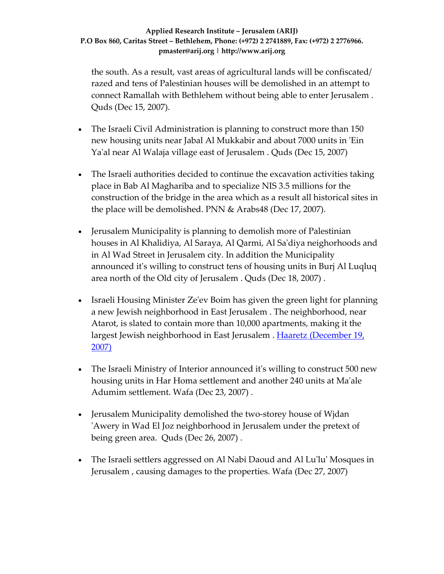the south. As a result, vast areas of agricultural lands will be confiscated/ razed and tens of Palestinian houses will be demolished in an attempt to connect Ramallah with Bethlehem without being able to enter Jerusalem . Quds (Dec 15, 2007).

- The Israeli Civil Administration is planning to construct more than 150 new housing units near Jabal Al Mukkabir and about 7000 units in ʹEin Yaʹal near Al Walaja village east of Jerusalem . Quds (Dec 15, 2007)
- The Israeli authorities decided to continue the excavation activities taking place in Bab Al Maghariba and to specialize NIS 3.5 millions for the construction of the bridge in the area which as a result all historical sites in the place will be demolished. PNN & Arabs48 (Dec 17, 2007).
- Jerusalem Municipality is planning to demolish more of Palestinian houses in Al Khalidiya, Al Saraya, Al Qarmi, Al Saʹdiya neighorhoods and in Al Wad Street in Jerusalem city. In addition the Municipality announced itʹs willing to construct tens of housing units in Burj Al Luqluq area north of the Old city of Jerusalem . Quds (Dec 18, 2007) .
- Israeli Housing Minister Ze'ev Boim has given the green light for planning a new Jewish neighborhood in East Jerusalem . The neighborhood, near Atarot, is slated to contain more than 10,000 apartments, making it the largest Jewish neighborhood in East Jerusalem . Haaretz [\(December](http://www.haaretz.com/hasen/spages/936017.html) 19, [2007\)](http://www.haaretz.com/hasen/spages/936017.html)
- The Israeli Ministry of Interior announced it's willing to construct 500 new housing units in Har Homa settlement and another 240 units at Maʹale Adumim settlement. Wafa (Dec 23, 2007) .
- Jerusalem Municipality demolished the two-storey house of Wjdan ʹAwery in Wad El Joz neighborhood in Jerusalem under the pretext of being green area. Quds (Dec 26, 2007) .
- The Israeli settlers aggressed on Al Nabi Daoud and Al Lu'lu' Mosques in Jerusalem , causing damages to the properties. Wafa (Dec 27, 2007)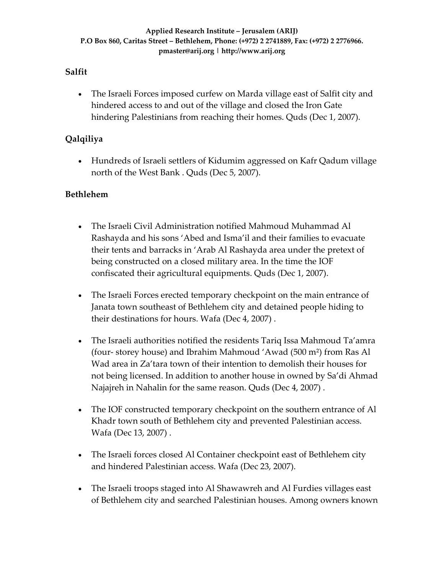### **Salfit**

• The Israeli Forces imposed curfew on Marda village east of Salfit city and hindered access to and out of the village and closed the Iron Gate hindering Palestinians from reaching their homes. Quds (Dec 1, 2007).

# **Qalqiliya**

• Hundreds of Israeli settlers of Kidumim aggressed on Kafr Qadum village north of the West Bank . Quds (Dec 5, 2007).

### **Bethlehem**

- The Israeli Civil Administration notified Mahmoud Muhammad Al Rashayda and his sons 'Abed and Isma'il and their families to evacuate their tents and barracks in 'Arab Al Rashayda area under the pretext of being constructed on a closed military area. In the time the IOF confiscated their agricultural equipments. Quds (Dec 1, 2007).
- The Israeli Forces erected temporary checkpoint on the main entrance of Janata town southeast of Bethlehem city and detained people hiding to their destinations for hours. Wafa (Dec 4, 2007) .
- The Israeli authorities notified the residents Tariq Issa Mahmoud Ta'amra (four‐ storey house) and Ibrahim Mahmoud 'Awad (500 m²) from Ras Al Wad area in Za'tara town of their intention to demolish their houses for not being licensed. In addition to another house in owned by Sa'di Ahmad Najajreh in Nahalin for the same reason. Quds (Dec 4, 2007) .
- The IOF constructed temporary checkpoint on the southern entrance of Al Khadr town south of Bethlehem city and prevented Palestinian access. Wafa (Dec 13, 2007) .
- The Israeli forces closed Al Container checkpoint east of Bethlehem city and hindered Palestinian access. Wafa (Dec 23, 2007).
- The Israeli troops staged into Al Shawawreh and Al Furdies villages east of Bethlehem city and searched Palestinian houses. Among owners known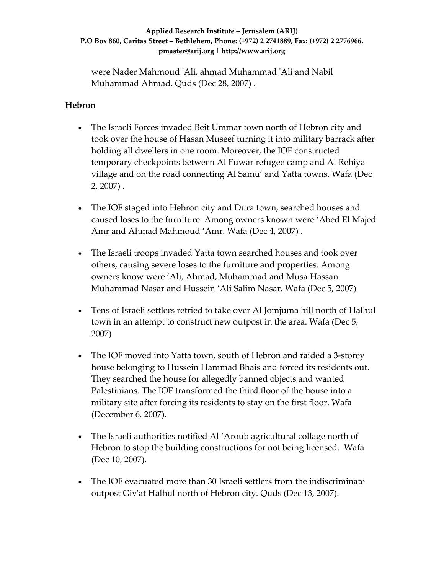were Nader Mahmoud ʹAli, ahmad Muhammad ʹAli and Nabil Muhammad Ahmad. Quds (Dec 28, 2007) .

### **Hebron**

- The Israeli Forces invaded Beit Ummar town north of Hebron city and took over the house of Hasan Museef turning it into military barrack after holding all dwellers in one room. Moreover, the IOF constructed temporary checkpoints between Al Fuwar refugee camp and Al Rehiya village and on the road connecting Al Samu' and Yatta towns. Wafa (Dec 2, 2007) .
- The IOF staged into Hebron city and Dura town, searched houses and caused loses to the furniture. Among owners known were 'Abed El Majed Amr and Ahmad Mahmoud 'Amr. Wafa (Dec 4, 2007) .
- The Israeli troops invaded Yatta town searched houses and took over others, causing severe loses to the furniture and properties. Among owners know were 'Ali, Ahmad, Muhammad and Musa Hassan Muhammad Nasar and Hussein 'Ali Salim Nasar. Wafa (Dec 5, 2007)
- Tens of Israeli settlers retried to take over Al Jomjuma hill north of Halhul town in an attempt to construct new outpost in the area. Wafa (Dec 5, 2007)
- The IOF moved into Yatta town, south of Hebron and raided a 3-storey house belonging to Hussein Hammad Bhais and forced its residents out. They searched the house for allegedly banned objects and wanted Palestinians. The IOF transformed the third floor of the house into a military site after forcing its residents to stay on the first floor. Wafa (December 6, 2007).
- The Israeli authorities notified Al 'Aroub agricultural collage north of Hebron to stop the building constructions for not being licensed. Wafa (Dec 10, 2007).
- The IOF evacuated more than 30 Israeli settlers from the indiscriminate outpost Givʹat Halhul north of Hebron city. Quds (Dec 13, 2007).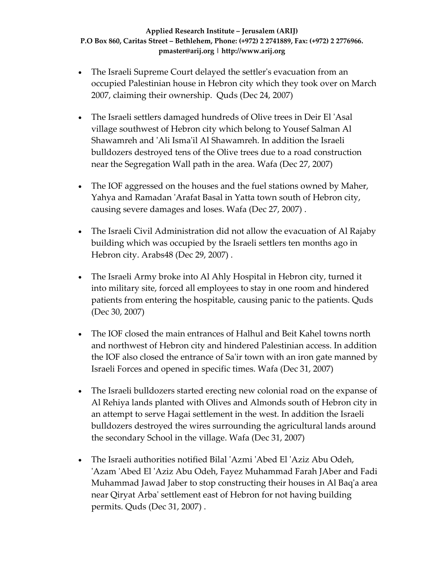- The Israeli Supreme Court delayed the settler's evacuation from an occupied Palestinian house in Hebron city which they took over on March 2007, claiming their ownership. Quds (Dec 24, 2007)
- The Israeli settlers damaged hundreds of Olive trees in Deir El 'Asal village southwest of Hebron city which belong to Yousef Salman Al Shawamreh and ʹAli Ismaʹil Al Shawamreh. In addition the Israeli bulldozers destroyed tens of the Olive trees due to a road construction near the Segregation Wall path in the area. Wafa (Dec 27, 2007)
- The IOF aggressed on the houses and the fuel stations owned by Maher, Yahya and Ramadan ʹArafat Basal in Yatta town south of Hebron city, causing severe damages and loses. Wafa (Dec 27, 2007) .
- The Israeli Civil Administration did not allow the evacuation of Al Rajaby building which was occupied by the Israeli settlers ten months ago in Hebron city. Arabs48 (Dec 29, 2007) .
- The Israeli Army broke into Al Ahly Hospital in Hebron city, turned it into military site, forced all employees to stay in one room and hindered patients from entering the hospitable, causing panic to the patients. Quds (Dec 30, 2007)
- The IOF closed the main entrances of Halhul and Beit Kahel towns north and northwest of Hebron city and hindered Palestinian access. In addition the IOF also closed the entrance of Saʹir town with an iron gate manned by Israeli Forces and opened in specific times. Wafa (Dec 31, 2007)
- The Israeli bulldozers started erecting new colonial road on the expanse of Al Rehiya lands planted with Olives and Almonds south of Hebron city in an attempt to serve Hagai settlement in the west. In addition the Israeli bulldozers destroyed the wires surrounding the agricultural lands around the secondary School in the village. Wafa (Dec 31, 2007)
- The Israeli authorities notified Bilal 'Azmi 'Abed El 'Aziz Abu Odeh, 'Azam 'Abed El 'Aziz Abu Odeh, Fayez Muhammad Farah JAber and Fadi Muhammad Jawad Jaber to stop constructing their houses in Al Baqʹa area near Qiryat Arbaʹ settlement east of Hebron for not having building permits. Quds (Dec 31, 2007) .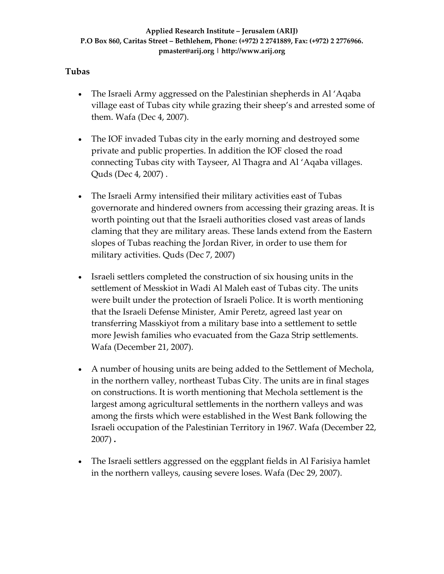### **Tubas**

- The Israeli Army aggressed on the Palestinian shepherds in Al 'Aqaba village east of Tubas city while grazing their sheep's and arrested some of them. Wafa (Dec 4, 2007).
- The IOF invaded Tubas city in the early morning and destroyed some private and public properties. In addition the IOF closed the road connecting Tubas city with Tayseer, Al Thagra and Al 'Aqaba villages. Quds (Dec 4, 2007) .
- The Israeli Army intensified their military activities east of Tubas governorate and hindered owners from accessing their grazing areas. It is worth pointing out that the Israeli authorities closed vast areas of lands claming that they are military areas. These lands extend from the Eastern slopes of Tubas reaching the Jordan River, in order to use them for military activities. Quds (Dec 7, 2007)
- Israeli settlers completed the construction of six housing units in the settlement of Messkiot in Wadi Al Maleh east of Tubas city. The units were built under the protection of Israeli Police. It is worth mentioning that the Israeli Defense Minister, Amir Peretz, agreed last year on transferring Masskiyot from a military base into a settlement to settle more Jewish families who evacuated from the Gaza Strip settlements. Wafa (December 21, 2007).
- A number of housing units are being added to the Settlement of Mechola, in the northern valley, northeast Tubas City. The units are in final stages on constructions. It is worth mentioning that Mechola settlement is the largest among agricultural settlements in the northern valleys and was among the firsts which were established in the West Bank following the Israeli occupation of the Palestinian Territory in 1967. Wafa (December 22, 2007) **.**
- The Israeli settlers aggressed on the eggplant fields in Al Farisiya hamlet in the northern valleys, causing severe loses. Wafa (Dec 29, 2007).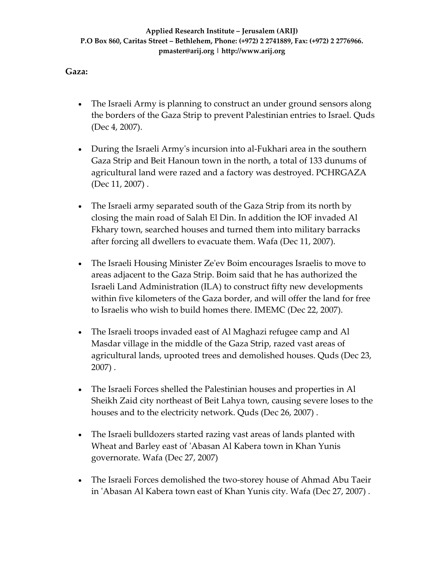### **Gaza:**

- The Israeli Army is planning to construct an under ground sensors along the borders of the Gaza Strip to prevent Palestinian entries to Israel. Quds (Dec 4, 2007).
- During the Israeli Army's incursion into al-Fukhari area in the southern Gaza Strip and Beit Hanoun town in the north, a total of 133 dunums of agricultural land were razed and a factory was destroyed. PCHRGAZA (Dec 11, 2007) .
- The Israeli army separated south of the Gaza Strip from its north by closing the main road of Salah El Din. In addition the IOF invaded Al Fkhary town, searched houses and turned them into military barracks after forcing all dwellers to evacuate them. Wafa (Dec 11, 2007).
- The Israeli Housing Minister Ze'ev Boim encourages Israelis to move to areas adjacent to the Gaza Strip. Boim said that he has authorized the Israeli Land Administration (ILA) to construct fifty new developments within five kilometers of the Gaza border, and will offer the land for free to Israelis who wish to build homes there. IMEMC (Dec 22, 2007).
- The Israeli troops invaded east of Al Maghazi refugee camp and Al Masdar village in the middle of the Gaza Strip, razed vast areas of agricultural lands, uprooted trees and demolished houses. Quds (Dec 23, 2007) .
- The Israeli Forces shelled the Palestinian houses and properties in Al Sheikh Zaid city northeast of Beit Lahya town, causing severe loses to the houses and to the electricity network. Quds (Dec 26, 2007) .
- The Israeli bulldozers started razing vast areas of lands planted with Wheat and Barley east of ʹAbasan Al Kabera town in Khan Yunis governorate. Wafa (Dec 27, 2007)
- The Israeli Forces demolished the two-storey house of Ahmad Abu Taeir in ʹAbasan Al Kabera town east of Khan Yunis city. Wafa (Dec 27, 2007) .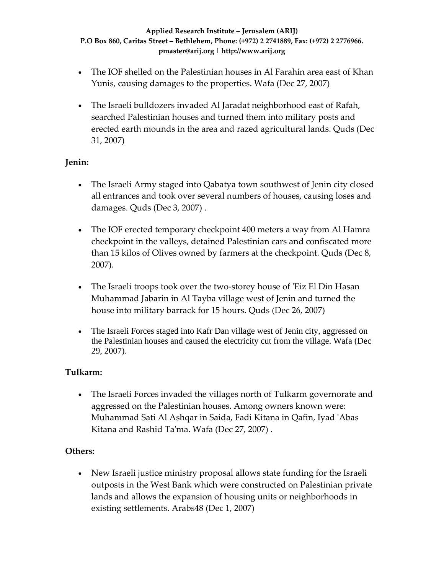- The IOF shelled on the Palestinian houses in Al Farahin area east of Khan Yunis, causing damages to the properties. Wafa (Dec 27, 2007)
- The Israeli bulldozers invaded Al Jaradat neighborhood east of Rafah, searched Palestinian houses and turned them into military posts and erected earth mounds in the area and razed agricultural lands. Quds (Dec 31, 2007)

## **Jenin:**

- The Israeli Army staged into Qabatya town southwest of Jenin city closed all entrances and took over several numbers of houses, causing loses and damages. Quds (Dec 3, 2007) .
- The IOF erected temporary checkpoint 400 meters a way from Al Hamra checkpoint in the valleys, detained Palestinian cars and confiscated more than 15 kilos of Olives owned by farmers at the checkpoint. Quds (Dec 8, 2007).
- The Israeli troops took over the two-storey house of 'Eiz El Din Hasan Muhammad Jabarin in Al Tayba village west of Jenin and turned the house into military barrack for 15 hours. Quds (Dec 26, 2007)
- The Israeli Forces staged into Kafr Dan village west of Jenin city, aggressed on the Palestinian houses and caused the electricity cut from the village. Wafa (Dec 29, 2007).

### **Tulkarm:**

• The Israeli Forces invaded the villages north of Tulkarm governorate and aggressed on the Palestinian houses. Among owners known were: Muhammad Sati Al Ashqar in Saida, Fadi Kitana in Qafin, Iyad ʹAbas Kitana and Rashid Ta'ma. Wafa (Dec 27, 2007).

# **Others:**

• New Israeli justice ministry proposal allows state funding for the Israeli outposts in the West Bank which were constructed on Palestinian private lands and allows the expansion of housing units or neighborhoods in existing settlements. Arabs48 (Dec 1, 2007)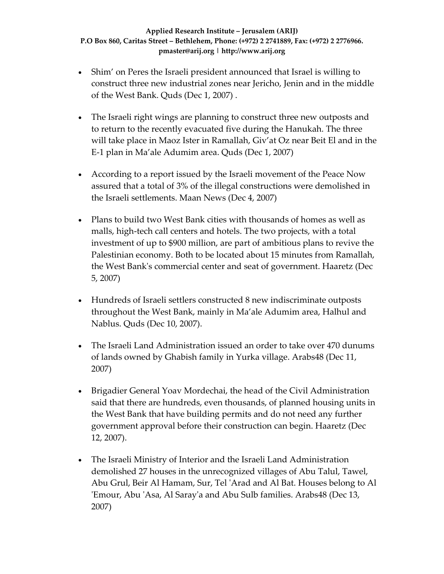- Shim' on Peres the Israeli president announced that Israel is willing to construct three new industrial zones near Jericho, Jenin and in the middle of the West Bank. Quds (Dec 1, 2007) .
- The Israeli right wings are planning to construct three new outposts and to return to the recently evacuated five during the Hanukah. The three will take place in Maoz Ister in Ramallah, Giv'at Oz near Beit El and in the E‐1 plan in Ma'ale Adumim area. Quds (Dec 1, 2007)
- According to a report issued by the Israeli movement of the Peace Now assured that a total of 3% of the illegal constructions were demolished in the Israeli settlements. Maan News (Dec 4, 2007)
- Plans to build two West Bank cities with thousands of homes as well as malls, high-tech call centers and hotels. The two projects, with a total investment of up to \$900 million, are part of ambitious plans to revive the Palestinian economy. Both to be located about 15 minutes from Ramallah, the West Bankʹs commercial center and seat of government. Haaretz (Dec 5, 2007)
- Hundreds of Israeli settlers constructed 8 new indiscriminate outposts throughout the West Bank, mainly in Ma'ale Adumim area, Halhul and Nablus. Quds (Dec 10, 2007).
- The Israeli Land Administration issued an order to take over 470 dunums of lands owned by Ghabish family in Yurka village. Arabs48 (Dec 11, 2007)
- Brigadier General Yoav Mordechai, the head of the Civil Administration said that there are hundreds, even thousands, of planned housing units in the West Bank that have building permits and do not need any further government approval before their construction can begin. Haaretz (Dec 12, 2007).
- The Israeli Ministry of Interior and the Israeli Land Administration demolished 27 houses in the unrecognized villages of Abu Talul, Tawel, Abu Grul, Beir Al Hamam, Sur, Tel ʹArad and Al Bat. Houses belong to Al ʹEmour, Abu ʹAsa, Al Sarayʹa and Abu Sulb families. Arabs48 (Dec 13, 2007)